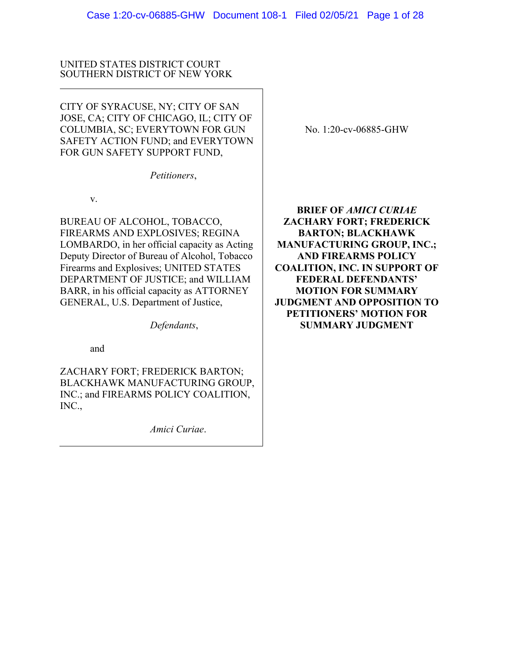## UNITED STATES DISTRICT COURT SOUTHERN DISTRICT OF NEW YORK

CITY OF SYRACUSE, NY; CITY OF SAN JOSE, CA; CITY OF CHICAGO, IL; CITY OF COLUMBIA, SC; EVERYTOWN FOR GUN SAFETY ACTION FUND; and EVERYTOWN FOR GUN SAFETY SUPPORT FUND,

*Petitioners*,

v.

BUREAU OF ALCOHOL, TOBACCO, FIREARMS AND EXPLOSIVES; REGINA LOMBARDO, in her official capacity as Acting Deputy Director of Bureau of Alcohol, Tobacco Firearms and Explosives; UNITED STATES DEPARTMENT OF JUSTICE; and WILLIAM BARR, in his official capacity as ATTORNEY GENERAL, U.S. Department of Justice,

*Defendants*,

and

ZACHARY FORT; FREDERICK BARTON; BLACKHAWK MANUFACTURING GROUP, INC.; and FIREARMS POLICY COALITION, INC.,

*Amici Curiae*.

No. 1:20-cv-06885-GHW

**BRIEF OF** *AMICI CURIAE* **ZACHARY FORT; FREDERICK BARTON; BLACKHAWK MANUFACTURING GROUP, INC.; AND FIREARMS POLICY COALITION, INC. IN SUPPORT OF FEDERAL DEFENDANTS' MOTION FOR SUMMARY JUDGMENT AND OPPOSITION TO PETITIONERS' MOTION FOR SUMMARY JUDGMENT**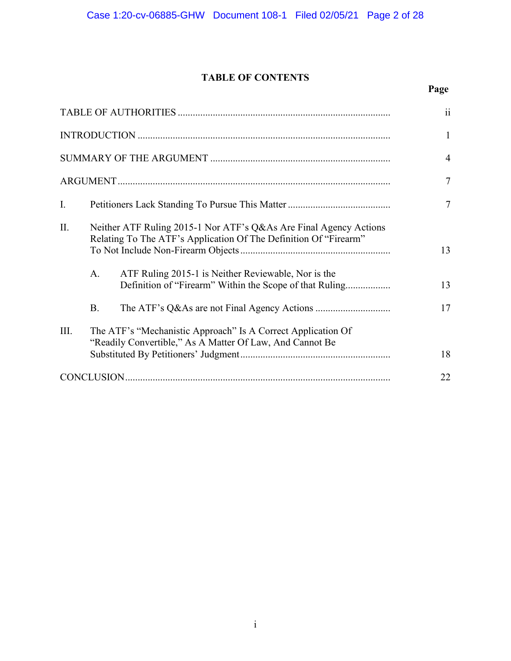# **TABLE OF CONTENTS**

# **Page**

| I.   |                                                                                                                                       |                                                                                                                | $\overline{7}$ |
|------|---------------------------------------------------------------------------------------------------------------------------------------|----------------------------------------------------------------------------------------------------------------|----------------|
| II.  | Neither ATF Ruling 2015-1 Nor ATF's Q&As Are Final Agency Actions<br>Relating To The ATF's Application Of The Definition Of "Firearm" |                                                                                                                | 13             |
|      | A.                                                                                                                                    | ATF Ruling 2015-1 is Neither Reviewable, Nor is the<br>Definition of "Firearm" Within the Scope of that Ruling | 13             |
|      | <b>B.</b>                                                                                                                             |                                                                                                                | 17             |
| III. | The ATF's "Mechanistic Approach" Is A Correct Application Of<br>"Readily Convertible," As A Matter Of Law, And Cannot Be              |                                                                                                                |                |
|      |                                                                                                                                       |                                                                                                                | 18             |
|      |                                                                                                                                       |                                                                                                                |                |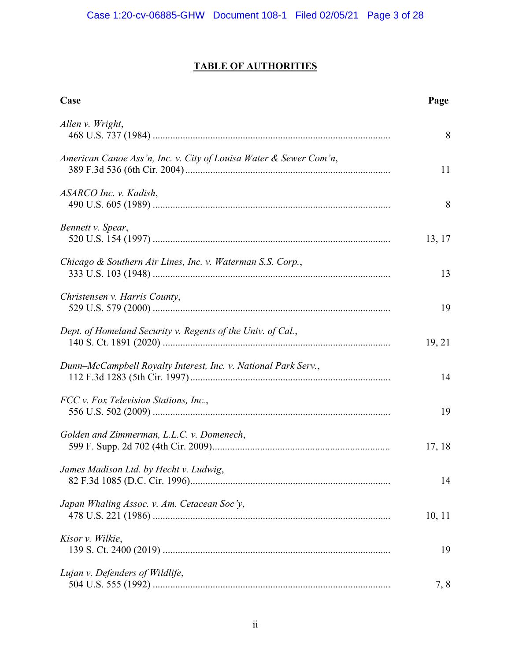# **TABLE OF AUTHORITIES**

| Case                                                              | Page   |
|-------------------------------------------------------------------|--------|
| Allen v. Wright,                                                  | 8      |
| American Canoe Ass'n, Inc. v. City of Louisa Water & Sewer Com'n, | 11     |
| ASARCO Inc. v. Kadish,                                            | 8      |
| Bennett v. Spear,                                                 | 13, 17 |
| Chicago & Southern Air Lines, Inc. v. Waterman S.S. Corp.,        | 13     |
| Christensen v. Harris County,                                     | 19     |
| Dept. of Homeland Security v. Regents of the Univ. of Cal.,       | 19, 21 |
| Dunn-McCampbell Royalty Interest, Inc. v. National Park Serv.,    | 14     |
| FCC v. Fox Television Stations, Inc.,                             | 19     |
| Golden and Zimmerman, L.L.C. v. Domenech,                         | 17, 18 |
| James Madison Ltd. by Hecht v. Ludwig,                            | 14     |
| Japan Whaling Assoc. v. Am. Cetacean Soc'y,                       | 10, 11 |
| Kisor v. Wilkie,                                                  | 19     |
| Lujan v. Defenders of Wildlife,                                   | 7, 8   |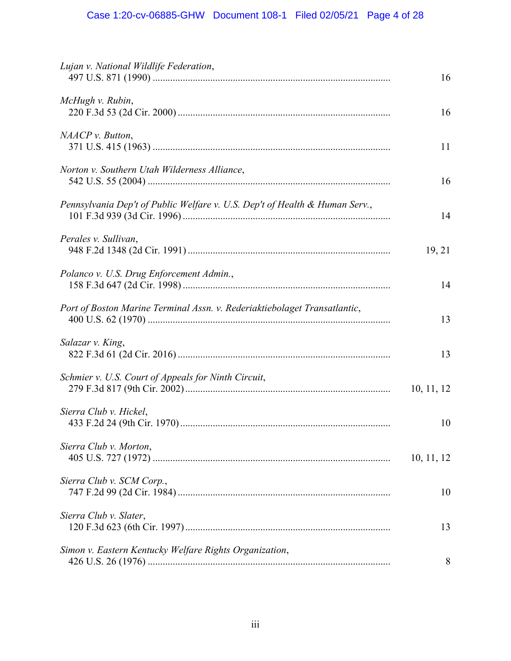| Lujan v. National Wildlife Federation,                                      | 16         |
|-----------------------------------------------------------------------------|------------|
| McHugh v. Rubin,                                                            | 16         |
| NAACP v. Button,                                                            | 11         |
| Norton v. Southern Utah Wilderness Alliance,                                | 16         |
| Pennsylvania Dep't of Public Welfare v. U.S. Dep't of Health & Human Serv., | 14         |
| Perales v. Sullivan,                                                        | 19, 21     |
| Polanco v. U.S. Drug Enforcement Admin.,                                    | 14         |
| Port of Boston Marine Terminal Assn. v. Rederiaktiebolaget Transatlantic,   | 13         |
| Salazar v. King,                                                            | 13         |
| Schmier v. U.S. Court of Appeals for Ninth Circuit,                         | 10, 11, 12 |
| Sierra Club v. Hickel,                                                      | 10         |
| Sierra Club v. Morton,                                                      | 10, 11, 12 |
| Sierra Club v. SCM Corp.,                                                   | 10         |
| Sierra Club v. Slater,                                                      | 13         |
| Simon v. Eastern Kentucky Welfare Rights Organization,                      | 8          |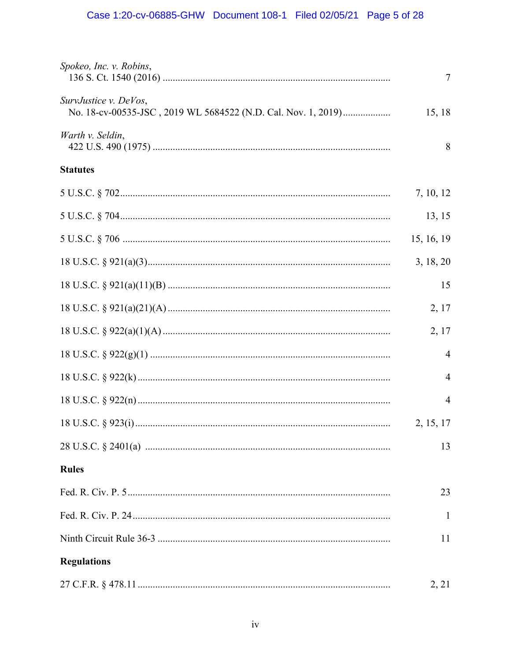| Spokeo, Inc. v. Robins,                                                                                                                                                                                                                                                                                                                                                        | 7              |
|--------------------------------------------------------------------------------------------------------------------------------------------------------------------------------------------------------------------------------------------------------------------------------------------------------------------------------------------------------------------------------|----------------|
| SurvJustice v. DeVos,<br>No. 18-cv-00535-JSC, 2019 WL 5684522 (N.D. Cal. Nov. 1, 2019)                                                                                                                                                                                                                                                                                         | 15, 18         |
| Warth v. Seldin,                                                                                                                                                                                                                                                                                                                                                               | 8              |
| <b>Statutes</b>                                                                                                                                                                                                                                                                                                                                                                |                |
| $5 \text{ U.S.C.} \$ $702 \dots 100 \dots 100 \dots 100 \dots 100 \dots 100 \dots 100 \dots 100 \dots 100 \dots 100 \dots 100 \dots 100 \dots 100 \dots 100 \dots 100 \dots 100 \dots 100 \dots 100 \dots 100 \dots 100 \dots 100 \dots 100 \dots 100 \dots 100 \dots 100 \dots 100 \dots 100 \dots 100 \dots 100 \dots 100 \dots 100 \dots 100 \dots 100 \dots 100 \dots 100$ | 7, 10, 12      |
|                                                                                                                                                                                                                                                                                                                                                                                | 13, 15         |
|                                                                                                                                                                                                                                                                                                                                                                                | 15, 16, 19     |
|                                                                                                                                                                                                                                                                                                                                                                                | 3, 18, 20      |
|                                                                                                                                                                                                                                                                                                                                                                                | 15             |
|                                                                                                                                                                                                                                                                                                                                                                                | 2, 17          |
|                                                                                                                                                                                                                                                                                                                                                                                | 2, 17          |
|                                                                                                                                                                                                                                                                                                                                                                                | 4              |
|                                                                                                                                                                                                                                                                                                                                                                                | $\overline{4}$ |
|                                                                                                                                                                                                                                                                                                                                                                                | 4              |
|                                                                                                                                                                                                                                                                                                                                                                                | 2, 15, 17      |
|                                                                                                                                                                                                                                                                                                                                                                                | 13             |
| <b>Rules</b>                                                                                                                                                                                                                                                                                                                                                                   |                |
|                                                                                                                                                                                                                                                                                                                                                                                | 23             |
|                                                                                                                                                                                                                                                                                                                                                                                | -1             |
|                                                                                                                                                                                                                                                                                                                                                                                | 11             |
| <b>Regulations</b>                                                                                                                                                                                                                                                                                                                                                             |                |
|                                                                                                                                                                                                                                                                                                                                                                                | 2, 21          |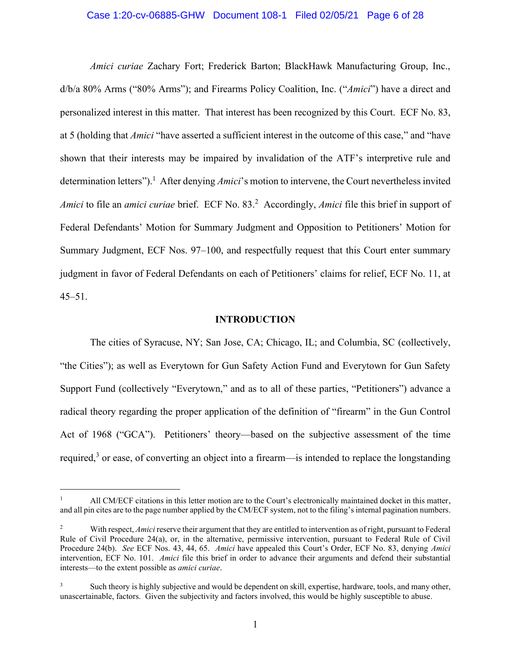## Case 1:20-cv-06885-GHW Document 108-1 Filed 02/05/21 Page 6 of 28

*Amici curiae* Zachary Fort; Frederick Barton; BlackHawk Manufacturing Group, Inc., d/b/a 80% Arms ("80% Arms"); and Firearms Policy Coalition, Inc. ("*Amici*") have a direct and personalized interest in this matter. That interest has been recognized by this Court. ECF No. 83, at 5 (holding that *Amici* "have asserted a sufficient interest in the outcome of this case," and "have shown that their interests may be impaired by invalidation of the ATF's interpretive rule and determination letters"). 1 After denying *Amici*'s motion to intervene, the Court nevertheless invited Amici to file an *amici curiae* brief. ECF No. 83.<sup>2</sup> Accordingly, *Amici* file this brief in support of Federal Defendants' Motion for Summary Judgment and Opposition to Petitioners' Motion for Summary Judgment, ECF Nos. 97–100, and respectfully request that this Court enter summary judgment in favor of Federal Defendants on each of Petitioners' claims for relief, ECF No. 11, at 45–51.

#### **INTRODUCTION**

The cities of Syracuse, NY; San Jose, CA; Chicago, IL; and Columbia, SC (collectively, "the Cities"); as well as Everytown for Gun Safety Action Fund and Everytown for Gun Safety Support Fund (collectively "Everytown," and as to all of these parties, "Petitioners") advance a radical theory regarding the proper application of the definition of "firearm" in the Gun Control Act of 1968 ("GCA"). Petitioners' theory—based on the subjective assessment of the time required,<sup>3</sup> or ease, of converting an object into a firearm—is intended to replace the longstanding

<sup>1</sup> All CM/ECF citations in this letter motion are to the Court's electronically maintained docket in this matter, and all pin cites are to the page number applied by the CM/ECF system, not to the filing's internal pagination numbers.

<sup>&</sup>lt;sup>2</sup> With respect, *Amici* reserve their argument that they are entitled to intervention as of right, pursuant to Federal Rule of Civil Procedure 24(a), or, in the alternative, permissive intervention, pursuant to Federal Rule of Civil Procedure 24(b). *See* ECF Nos. 43, 44, 65. *Amici* have appealed this Court's Order, ECF No. 83, denying *Amici* intervention, ECF No. 101. *Amici* file this brief in order to advance their arguments and defend their substantial interests—to the extent possible as *amici curiae*.

<sup>&</sup>lt;sup>3</sup> Such theory is highly subjective and would be dependent on skill, expertise, hardware, tools, and many other, unascertainable, factors. Given the subjectivity and factors involved, this would be highly susceptible to abuse.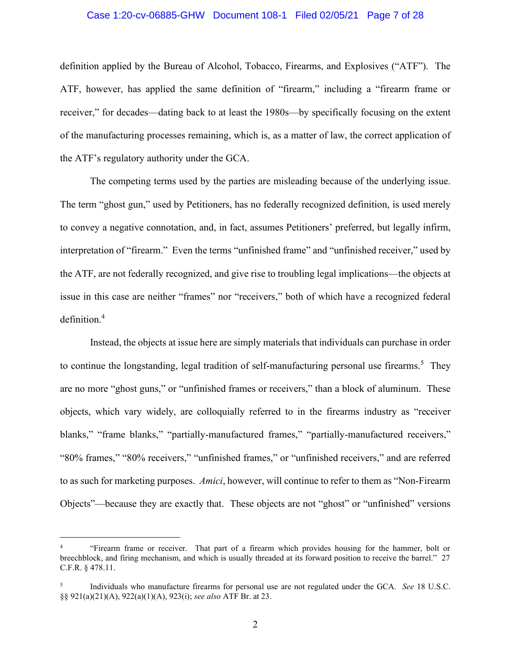## Case 1:20-cv-06885-GHW Document 108-1 Filed 02/05/21 Page 7 of 28

definition applied by the Bureau of Alcohol, Tobacco, Firearms, and Explosives ("ATF"). The ATF, however, has applied the same definition of "firearm," including a "firearm frame or receiver," for decades—dating back to at least the 1980s—by specifically focusing on the extent of the manufacturing processes remaining, which is, as a matter of law, the correct application of the ATF's regulatory authority under the GCA.

The competing terms used by the parties are misleading because of the underlying issue. The term "ghost gun," used by Petitioners, has no federally recognized definition, is used merely to convey a negative connotation, and, in fact, assumes Petitioners' preferred, but legally infirm, interpretation of "firearm." Even the terms "unfinished frame" and "unfinished receiver," used by the ATF, are not federally recognized, and give rise to troubling legal implications—the objects at issue in this case are neither "frames" nor "receivers," both of which have a recognized federal definition. 4

Instead, the objects at issue here are simply materials that individuals can purchase in order to continue the longstanding, legal tradition of self-manufacturing personal use firearms.<sup>5</sup> They are no more "ghost guns," or "unfinished frames or receivers," than a block of aluminum. These objects, which vary widely, are colloquially referred to in the firearms industry as "receiver blanks," "frame blanks," "partially-manufactured frames," "partially-manufactured receivers," "80% frames," "80% receivers," "unfinished frames," or "unfinished receivers," and are referred to as such for marketing purposes. *Amici*, however, will continue to refer to them as "Non-Firearm Objects"—because they are exactly that. These objects are not "ghost" or "unfinished" versions

<sup>4</sup> "Firearm frame or receiver. That part of a firearm which provides housing for the hammer, bolt or breechblock, and firing mechanism, and which is usually threaded at its forward position to receive the barrel." 27 C.F.R. § 478.11.

<sup>5</sup> Individuals who manufacture firearms for personal use are not regulated under the GCA. *See* 18 U.S.C. §§ 921(a)(21)(A), 922(a)(1)(A), 923(i); *see also* ATF Br. at 23.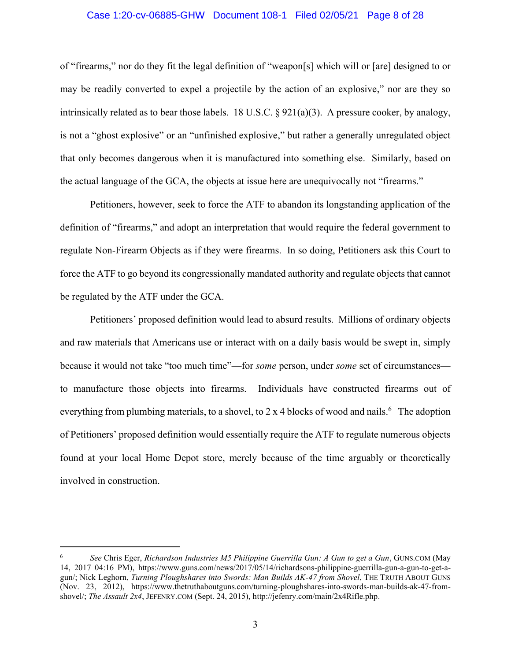## Case 1:20-cv-06885-GHW Document 108-1 Filed 02/05/21 Page 8 of 28

of "firearms," nor do they fit the legal definition of "weapon[s] which will or [are] designed to or may be readily converted to expel a projectile by the action of an explosive," nor are they so intrinsically related as to bear those labels. 18 U.S.C.  $\S 921(a)(3)$ . A pressure cooker, by analogy, is not a "ghost explosive" or an "unfinished explosive," but rather a generally unregulated object that only becomes dangerous when it is manufactured into something else. Similarly, based on the actual language of the GCA, the objects at issue here are unequivocally not "firearms."

Petitioners, however, seek to force the ATF to abandon its longstanding application of the definition of "firearms," and adopt an interpretation that would require the federal government to regulate Non-Firearm Objects as if they were firearms. In so doing, Petitioners ask this Court to force the ATF to go beyond its congressionally mandated authority and regulate objects that cannot be regulated by the ATF under the GCA.

Petitioners' proposed definition would lead to absurd results. Millions of ordinary objects and raw materials that Americans use or interact with on a daily basis would be swept in, simply because it would not take "too much time"—for *some* person, under *some* set of circumstances to manufacture those objects into firearms. Individuals have constructed firearms out of everything from plumbing materials, to a shovel, to 2 x 4 blocks of wood and nails.  $6$  The adoption of Petitioners' proposed definition would essentially require the ATF to regulate numerous objects found at your local Home Depot store, merely because of the time arguably or theoretically involved in construction.

<sup>6</sup> *See* Chris Eger, *Richardson Industries M5 Philippine Guerrilla Gun: A Gun to get a Gun*, GUNS.COM (May 14, 2017 04:16 PM), https://www.guns.com/news/2017/05/14/richardsons-philippine-guerrilla-gun-a-gun-to-get-agun/; Nick Leghorn, *Turning Ploughshares into Swords: Man Builds AK-47 from Shovel*, THE TRUTH ABOUT GUNS (Nov. 23, 2012), https://www.thetruthaboutguns.com/turning-ploughshares-into-swords-man-builds-ak-47-fromshovel/; *The Assault 2x4*, JEFENRY.COM (Sept. 24, 2015), http://jefenry.com/main/2x4Rifle.php.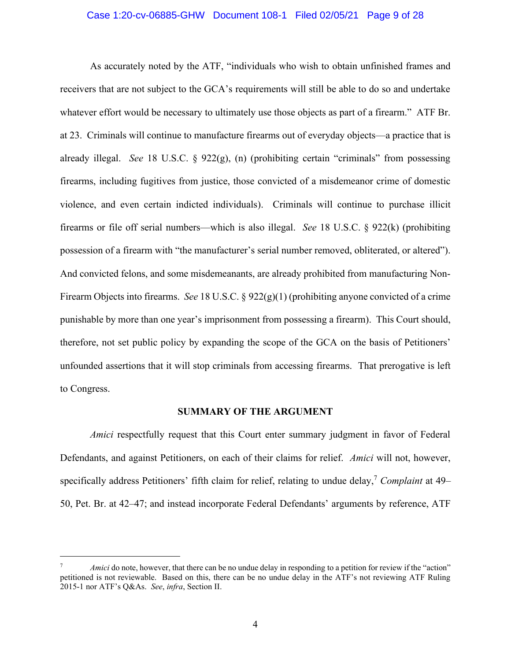## Case 1:20-cv-06885-GHW Document 108-1 Filed 02/05/21 Page 9 of 28

As accurately noted by the ATF, "individuals who wish to obtain unfinished frames and receivers that are not subject to the GCA's requirements will still be able to do so and undertake whatever effort would be necessary to ultimately use those objects as part of a firearm." ATF Br. at 23. Criminals will continue to manufacture firearms out of everyday objects—a practice that is already illegal. *See* 18 U.S.C. § 922(g), (n) (prohibiting certain "criminals" from possessing firearms, including fugitives from justice, those convicted of a misdemeanor crime of domestic violence, and even certain indicted individuals). Criminals will continue to purchase illicit firearms or file off serial numbers—which is also illegal. *See* 18 U.S.C. § 922(k) (prohibiting possession of a firearm with "the manufacturer's serial number removed, obliterated, or altered"). And convicted felons, and some misdemeanants, are already prohibited from manufacturing Non-Firearm Objects into firearms. *See* 18 U.S.C. § 922(g)(1) (prohibiting anyone convicted of a crime punishable by more than one year's imprisonment from possessing a firearm). This Court should, therefore, not set public policy by expanding the scope of the GCA on the basis of Petitioners' unfounded assertions that it will stop criminals from accessing firearms. That prerogative is left to Congress.

#### **SUMMARY OF THE ARGUMENT**

*Amici* respectfully request that this Court enter summary judgment in favor of Federal Defendants, and against Petitioners, on each of their claims for relief. *Amici* will not, however, specifically address Petitioners' fifth claim for relief, relating to undue delay, <sup>7</sup> *Complaint* at 49– 50, Pet. Br. at 42–47; and instead incorporate Federal Defendants' arguments by reference, ATF

*Amici* do note, however, that there can be no undue delay in responding to a petition for review if the "action" petitioned is not reviewable. Based on this, there can be no undue delay in the ATF's not reviewing ATF Ruling 2015-1 nor ATF's Q&As. *See*, *infra*, Section II.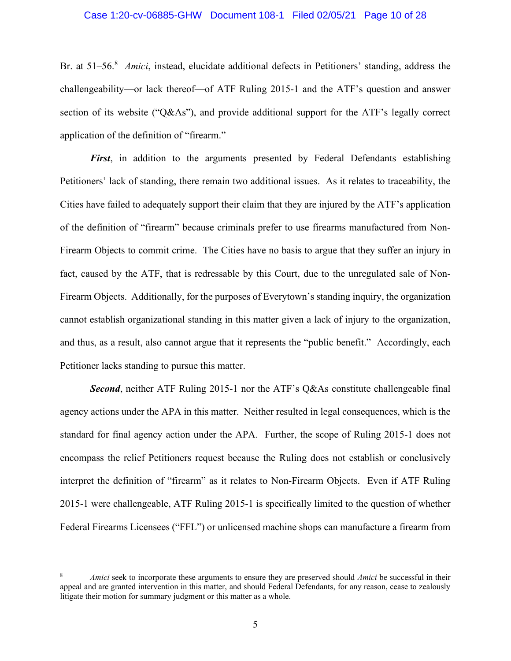## Case 1:20-cv-06885-GHW Document 108-1 Filed 02/05/21 Page 10 of 28

Br. at 51–56. 8 *Amici*, instead, elucidate additional defects in Petitioners' standing, address the challengeability—or lack thereof—of ATF Ruling 2015-1 and the ATF's question and answer section of its website ("Q&As"), and provide additional support for the ATF's legally correct application of the definition of "firearm."

*First*, in addition to the arguments presented by Federal Defendants establishing Petitioners' lack of standing, there remain two additional issues. As it relates to traceability, the Cities have failed to adequately support their claim that they are injured by the ATF's application of the definition of "firearm" because criminals prefer to use firearms manufactured from Non-Firearm Objects to commit crime. The Cities have no basis to argue that they suffer an injury in fact, caused by the ATF, that is redressable by this Court, due to the unregulated sale of Non-Firearm Objects. Additionally, for the purposes of Everytown's standing inquiry, the organization cannot establish organizational standing in this matter given a lack of injury to the organization, and thus, as a result, also cannot argue that it represents the "public benefit." Accordingly, each Petitioner lacks standing to pursue this matter.

*Second*, neither ATF Ruling 2015-1 nor the ATF's Q&As constitute challengeable final agency actions under the APA in this matter. Neither resulted in legal consequences, which is the standard for final agency action under the APA. Further, the scope of Ruling 2015-1 does not encompass the relief Petitioners request because the Ruling does not establish or conclusively interpret the definition of "firearm" as it relates to Non-Firearm Objects. Even if ATF Ruling 2015-1 were challengeable, ATF Ruling 2015-1 is specifically limited to the question of whether Federal Firearms Licensees ("FFL") or unlicensed machine shops can manufacture a firearm from

<sup>8</sup> *Amici* seek to incorporate these arguments to ensure they are preserved should *Amici* be successful in their appeal and are granted intervention in this matter, and should Federal Defendants, for any reason, cease to zealously litigate their motion for summary judgment or this matter as a whole.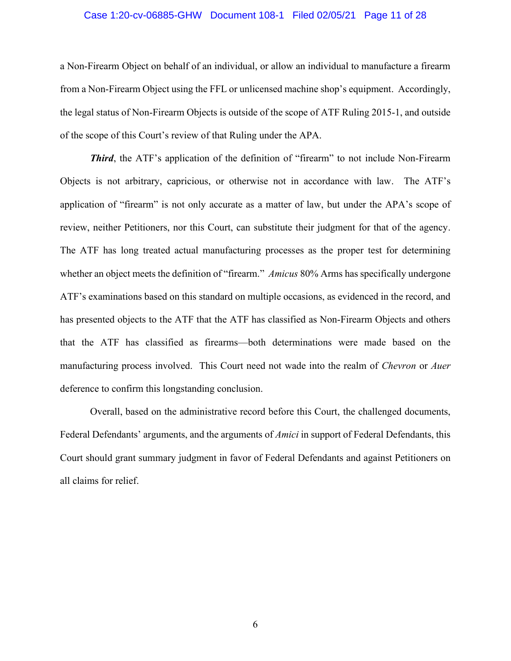## Case 1:20-cv-06885-GHW Document 108-1 Filed 02/05/21 Page 11 of 28

a Non-Firearm Object on behalf of an individual, or allow an individual to manufacture a firearm from a Non-Firearm Object using the FFL or unlicensed machine shop's equipment. Accordingly, the legal status of Non-Firearm Objects is outside of the scope of ATF Ruling 2015-1, and outside of the scope of this Court's review of that Ruling under the APA.

*Third*, the ATF's application of the definition of "firearm" to not include Non-Firearm Objects is not arbitrary, capricious, or otherwise not in accordance with law. The ATF's application of "firearm" is not only accurate as a matter of law, but under the APA's scope of review, neither Petitioners, nor this Court, can substitute their judgment for that of the agency. The ATF has long treated actual manufacturing processes as the proper test for determining whether an object meets the definition of "firearm." *Amicus* 80% Arms has specifically undergone ATF's examinations based on this standard on multiple occasions, as evidenced in the record, and has presented objects to the ATF that the ATF has classified as Non-Firearm Objects and others that the ATF has classified as firearms—both determinations were made based on the manufacturing process involved. This Court need not wade into the realm of *Chevron* or *Auer* deference to confirm this longstanding conclusion.

Overall, based on the administrative record before this Court, the challenged documents, Federal Defendants' arguments, and the arguments of *Amici* in support of Federal Defendants, this Court should grant summary judgment in favor of Federal Defendants and against Petitioners on all claims for relief.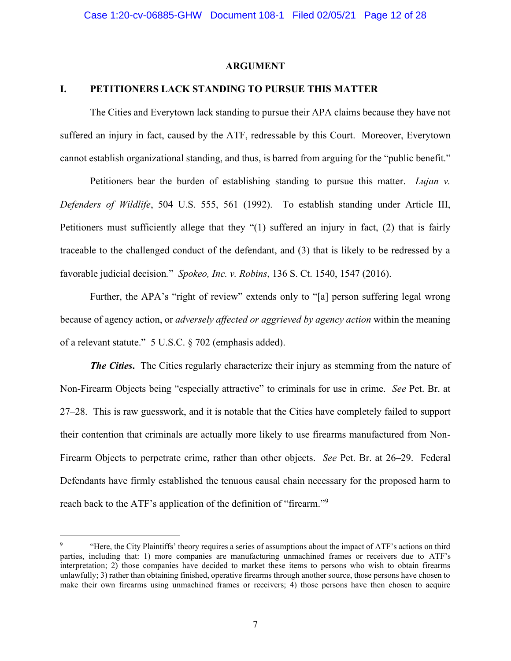## **ARGUMENT**

## **I. PETITIONERS LACK STANDING TO PURSUE THIS MATTER**

The Cities and Everytown lack standing to pursue their APA claims because they have not suffered an injury in fact, caused by the ATF, redressable by this Court. Moreover, Everytown cannot establish organizational standing, and thus, is barred from arguing for the "public benefit."

Petitioners bear the burden of establishing standing to pursue this matter. *Lujan v. Defenders of Wildlife*, 504 U.S. 555, 561 (1992). To establish standing under Article III, Petitioners must sufficiently allege that they "(1) suffered an injury in fact, (2) that is fairly traceable to the challenged conduct of the defendant, and (3) that is likely to be redressed by a favorable judicial decision*.*" *Spokeo, Inc. v. Robins*, 136 S. Ct. 1540, 1547 (2016).

Further, the APA's "right of review" extends only to "[a] person suffering legal wrong because of agency action, or *adversely affected or aggrieved by agency action* within the meaning of a relevant statute." 5 U.S.C. § 702 (emphasis added).

*The Cities***.** The Cities regularly characterize their injury as stemming from the nature of Non-Firearm Objects being "especially attractive" to criminals for use in crime. *See* Pet. Br. at 27–28. This is raw guesswork, and it is notable that the Cities have completely failed to support their contention that criminals are actually more likely to use firearms manufactured from Non-Firearm Objects to perpetrate crime, rather than other objects. *See* Pet. Br. at 26–29. Federal Defendants have firmly established the tenuous causal chain necessary for the proposed harm to reach back to the ATF's application of the definition of "firearm."<sup>9</sup>

<sup>9</sup> "Here, the City Plaintiffs' theory requires a series of assumptions about the impact of ATF's actions on third parties, including that: 1) more companies are manufacturing unmachined frames or receivers due to ATF's interpretation; 2) those companies have decided to market these items to persons who wish to obtain firearms unlawfully; 3) rather than obtaining finished, operative firearms through another source, those persons have chosen to make their own firearms using unmachined frames or receivers; 4) those persons have then chosen to acquire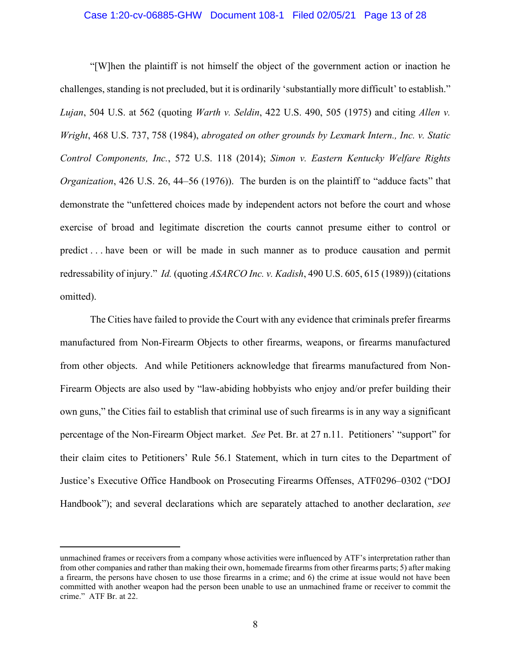## Case 1:20-cv-06885-GHW Document 108-1 Filed 02/05/21 Page 13 of 28

"[W]hen the plaintiff is not himself the object of the government action or inaction he challenges, standing is not precluded, but it is ordinarily 'substantially more difficult' to establish." *Lujan*, 504 U.S. at 562 (quoting *Warth v. Seldin*, 422 U.S. 490, 505 (1975) and citing *Allen v. Wright*, 468 U.S. 737, 758 (1984), *abrogated on other grounds by Lexmark Intern., Inc. v. Static Control Components, Inc.*, 572 U.S. 118 (2014); *Simon v. Eastern Kentucky Welfare Rights Organization*, 426 U.S. 26, 44–56 (1976)). The burden is on the plaintiff to "adduce facts" that demonstrate the "unfettered choices made by independent actors not before the court and whose exercise of broad and legitimate discretion the courts cannot presume either to control or predict . . . have been or will be made in such manner as to produce causation and permit redressability of injury." *Id.* (quoting *ASARCO Inc. v. Kadish*, 490 U.S. 605, 615 (1989)) (citations omitted).

The Cities have failed to provide the Court with any evidence that criminals prefer firearms manufactured from Non-Firearm Objects to other firearms, weapons, or firearms manufactured from other objects. And while Petitioners acknowledge that firearms manufactured from Non-Firearm Objects are also used by "law-abiding hobbyists who enjoy and/or prefer building their own guns," the Cities fail to establish that criminal use of such firearms is in any way a significant percentage of the Non-Firearm Object market. *See* Pet. Br. at 27 n.11. Petitioners' "support" for their claim cites to Petitioners' Rule 56.1 Statement, which in turn cites to the Department of Justice's Executive Office Handbook on Prosecuting Firearms Offenses, ATF0296–0302 ("DOJ Handbook"); and several declarations which are separately attached to another declaration, *see*

unmachined frames or receivers from a company whose activities were influenced by ATF's interpretation rather than from other companies and rather than making their own, homemade firearms from other firearms parts; 5) after making a firearm, the persons have chosen to use those firearms in a crime; and 6) the crime at issue would not have been committed with another weapon had the person been unable to use an unmachined frame or receiver to commit the crime." ATF Br. at 22.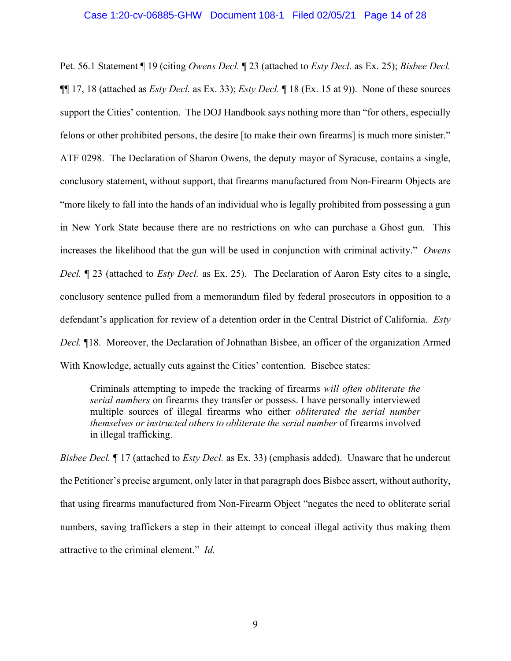### Case 1:20-cv-06885-GHW Document 108-1 Filed 02/05/21 Page 14 of 28

Pet. 56.1 Statement ¶ 19 (citing *Owens Decl.* ¶ 23 (attached to *Esty Decl.* as Ex. 25); *Bisbee Decl.* ¶¶ 17, 18 (attached as *Esty Decl.* as Ex. 33); *Esty Decl.* ¶ 18 (Ex. 15 at 9)). None of these sources support the Cities' contention. The DOJ Handbook says nothing more than "for others, especially felons or other prohibited persons, the desire [to make their own firearms] is much more sinister." ATF 0298. The Declaration of Sharon Owens, the deputy mayor of Syracuse, contains a single, conclusory statement, without support, that firearms manufactured from Non-Firearm Objects are "more likely to fall into the hands of an individual who is legally prohibited from possessing a gun in New York State because there are no restrictions on who can purchase a Ghost gun. This increases the likelihood that the gun will be used in conjunction with criminal activity." *Owens Decl.* ¶ 23 (attached to *Esty Decl.* as Ex. 25). The Declaration of Aaron Esty cites to a single, conclusory sentence pulled from a memorandum filed by federal prosecutors in opposition to a defendant's application for review of a detention order in the Central District of California. *Esty Decl.* ¶18. Moreover, the Declaration of Johnathan Bisbee, an officer of the organization Armed With Knowledge, actually cuts against the Cities' contention. Bisebee states:

Criminals attempting to impede the tracking of firearms *will often obliterate the serial numbers* on firearms they transfer or possess. I have personally interviewed multiple sources of illegal firearms who either *obliterated the serial number themselves or instructed others to obliterate the serial number* of firearms involved in illegal trafficking.

*Bisbee Decl.* ¶ 17 (attached to *Esty Decl.* as Ex. 33) (emphasis added). Unaware that he undercut the Petitioner's precise argument, only later in that paragraph does Bisbee assert, without authority, that using firearms manufactured from Non-Firearm Object "negates the need to obliterate serial numbers, saving traffickers a step in their attempt to conceal illegal activity thus making them attractive to the criminal element." *Id.*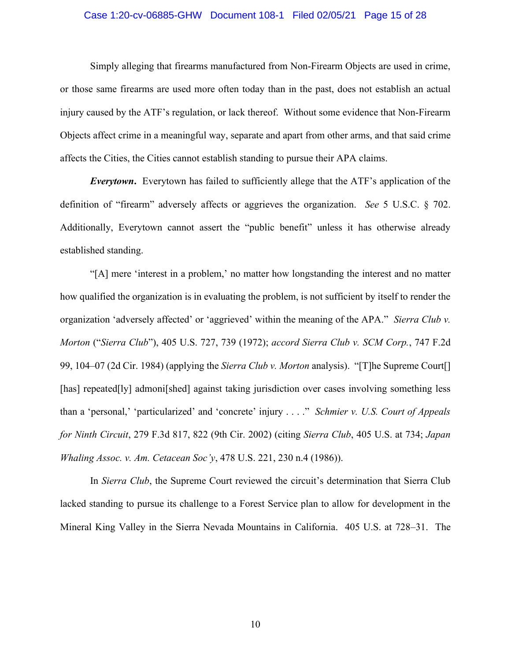## Case 1:20-cv-06885-GHW Document 108-1 Filed 02/05/21 Page 15 of 28

Simply alleging that firearms manufactured from Non-Firearm Objects are used in crime, or those same firearms are used more often today than in the past, does not establish an actual injury caused by the ATF's regulation, or lack thereof. Without some evidence that Non-Firearm Objects affect crime in a meaningful way, separate and apart from other arms, and that said crime affects the Cities, the Cities cannot establish standing to pursue their APA claims.

*Everytown***.** Everytown has failed to sufficiently allege that the ATF's application of the definition of "firearm" adversely affects or aggrieves the organization. *See* 5 U.S.C. § 702. Additionally, Everytown cannot assert the "public benefit" unless it has otherwise already established standing.

"[A] mere 'interest in a problem,' no matter how longstanding the interest and no matter how qualified the organization is in evaluating the problem, is not sufficient by itself to render the organization 'adversely affected' or 'aggrieved' within the meaning of the APA." *Sierra Club v. Morton* ("*Sierra Club*"), 405 U.S. 727, 739 (1972); *accord Sierra Club v. SCM Corp.*, 747 F.2d 99, 104–07 (2d Cir. 1984) (applying the *Sierra Club v. Morton* analysis). "[T]he Supreme Court[] [has] repeated[ly] admoni[shed] against taking jurisdiction over cases involving something less than a 'personal,' 'particularized' and 'concrete' injury . . . ." *Schmier v. U.S. Court of Appeals for Ninth Circuit*, 279 F.3d 817, 822 (9th Cir. 2002) (citing *Sierra Club*, 405 U.S. at 734; *Japan Whaling Assoc. v. Am. Cetacean Soc'y*, 478 U.S. 221, 230 n.4 (1986)).

In *Sierra Club*, the Supreme Court reviewed the circuit's determination that Sierra Club lacked standing to pursue its challenge to a Forest Service plan to allow for development in the Mineral King Valley in the Sierra Nevada Mountains in California. 405 U.S. at 728–31. The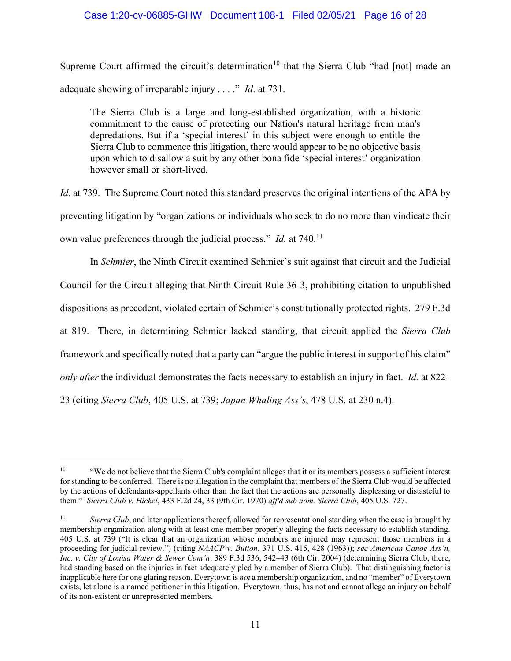## Case 1:20-cv-06885-GHW Document 108-1 Filed 02/05/21 Page 16 of 28

Supreme Court affirmed the circuit's determination<sup>10</sup> that the Sierra Club "had [not] made an adequate showing of irreparable injury . . . ." *Id*. at 731.

The Sierra Club is a large and long-established organization, with a historic commitment to the cause of protecting our Nation's natural heritage from man's depredations. But if a 'special interest' in this subject were enough to entitle the Sierra Club to commence this litigation, there would appear to be no objective basis upon which to disallow a suit by any other bona fide 'special interest' organization however small or short-lived.

*Id.* at 739. The Supreme Court noted this standard preserves the original intentions of the APA by preventing litigation by "organizations or individuals who seek to do no more than vindicate their own value preferences through the judicial process." *Id.* at 740.<sup>11</sup>

In *Schmier*, the Ninth Circuit examined Schmier's suit against that circuit and the Judicial Council for the Circuit alleging that Ninth Circuit Rule 36-3, prohibiting citation to unpublished dispositions as precedent, violated certain of Schmier's constitutionally protected rights. 279 F.3d at 819. There, in determining Schmier lacked standing, that circuit applied the *Sierra Club* framework and specifically noted that a party can "argue the public interest in support of his claim" *only after* the individual demonstrates the facts necessary to establish an injury in fact. *Id.* at 822– 23 (citing *Sierra Club*, 405 U.S. at 739; *Japan Whaling Ass's*, 478 U.S. at 230 n.4).

<sup>10</sup> "We do not believe that the Sierra Club's complaint alleges that it or its members possess a sufficient interest for standing to be conferred. There is no allegation in the complaint that members of the Sierra Club would be affected by the actions of defendants-appellants other than the fact that the actions are personally displeasing or distasteful to them." *Sierra Club v. Hickel*, 433 F.2d 24, 33 (9th Cir. 1970) *aff'd sub nom. Sierra Club*, 405 U.S. 727.

<sup>&</sup>lt;sup>11</sup> *Sierra Club*, and later applications thereof, allowed for representational standing when the case is brought by membership organization along with at least one member properly alleging the facts necessary to establish standing. 405 U.S. at 739 ("It is clear that an organization whose members are injured may represent those members in a proceeding for judicial review.") (citing *NAACP v. Button*, 371 U.S. 415, 428 (1963)); *see American Canoe Ass'n, Inc. v. City of Louisa Water & Sewer Com'n*, 389 F.3d 536, 542–43 (6th Cir. 2004) (determining Sierra Club, there, had standing based on the injuries in fact adequately pled by a member of Sierra Club). That distinguishing factor is inapplicable here for one glaring reason, Everytown is *not* a membership organization, and no "member" of Everytown exists, let alone is a named petitioner in this litigation. Everytown, thus, has not and cannot allege an injury on behalf of its non-existent or unrepresented members.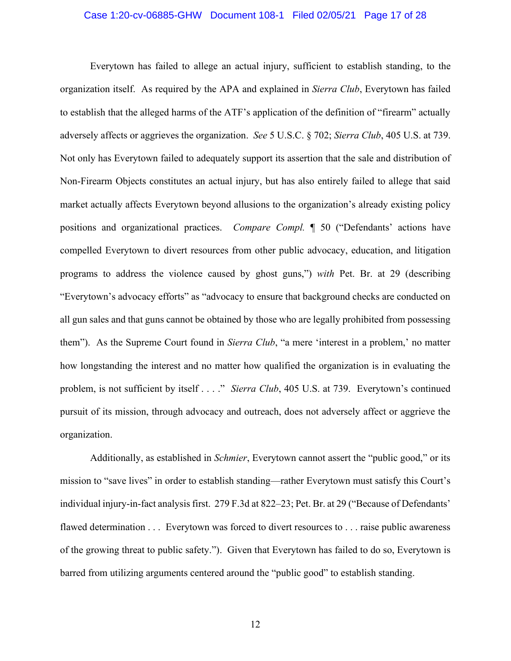## Case 1:20-cv-06885-GHW Document 108-1 Filed 02/05/21 Page 17 of 28

Everytown has failed to allege an actual injury, sufficient to establish standing, to the organization itself. As required by the APA and explained in *Sierra Club*, Everytown has failed to establish that the alleged harms of the ATF's application of the definition of "firearm" actually adversely affects or aggrieves the organization. *See* 5 U.S.C. § 702; *Sierra Club*, 405 U.S. at 739. Not only has Everytown failed to adequately support its assertion that the sale and distribution of Non-Firearm Objects constitutes an actual injury, but has also entirely failed to allege that said market actually affects Everytown beyond allusions to the organization's already existing policy positions and organizational practices. *Compare Compl.* ¶ 50 ("Defendants' actions have compelled Everytown to divert resources from other public advocacy, education, and litigation programs to address the violence caused by ghost guns,") *with* Pet. Br. at 29 (describing "Everytown's advocacy efforts" as "advocacy to ensure that background checks are conducted on all gun sales and that guns cannot be obtained by those who are legally prohibited from possessing them"). As the Supreme Court found in *Sierra Club*, "a mere 'interest in a problem,' no matter how longstanding the interest and no matter how qualified the organization is in evaluating the problem, is not sufficient by itself . . . ." *Sierra Club*, 405 U.S. at 739. Everytown's continued pursuit of its mission, through advocacy and outreach, does not adversely affect or aggrieve the organization.

Additionally, as established in *Schmier*, Everytown cannot assert the "public good," or its mission to "save lives" in order to establish standing—rather Everytown must satisfy this Court's individual injury-in-fact analysis first. 279 F.3d at 822–23; Pet. Br. at 29 ("Because of Defendants' flawed determination . . . Everytown was forced to divert resources to . . . raise public awareness of the growing threat to public safety."). Given that Everytown has failed to do so, Everytown is barred from utilizing arguments centered around the "public good" to establish standing.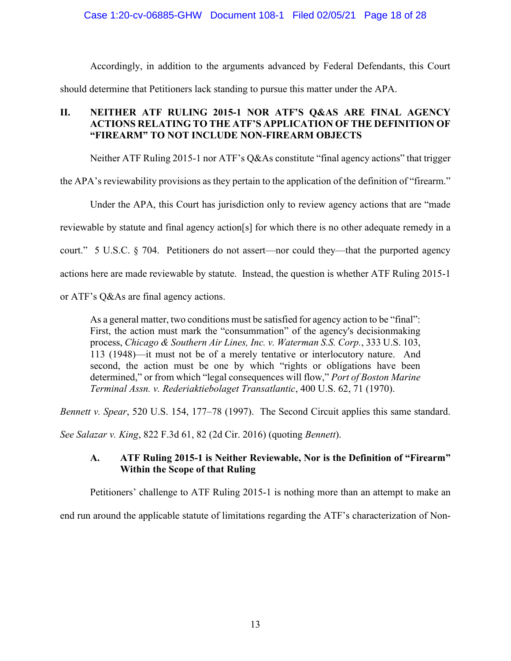## Case 1:20-cv-06885-GHW Document 108-1 Filed 02/05/21 Page 18 of 28

Accordingly, in addition to the arguments advanced by Federal Defendants, this Court should determine that Petitioners lack standing to pursue this matter under the APA.

# **II. NEITHER ATF RULING 2015-1 NOR ATF'S Q&AS ARE FINAL AGENCY ACTIONS RELATING TO THE ATF'S APPLICATION OF THE DEFINITION OF "FIREARM" TO NOT INCLUDE NON-FIREARM OBJECTS**

Neither ATF Ruling 2015-1 nor ATF's Q&As constitute "final agency actions" that trigger

the APA's reviewability provisions as they pertain to the application of the definition of "firearm."

Under the APA, this Court has jurisdiction only to review agency actions that are "made reviewable by statute and final agency action[s] for which there is no other adequate remedy in a court." 5 U.S.C. § 704. Petitioners do not assert—nor could they—that the purported agency actions here are made reviewable by statute. Instead, the question is whether ATF Ruling 2015-1

or ATF's Q&As are final agency actions.

As a general matter, two conditions must be satisfied for agency action to be "final": First, the action must mark the "consummation" of the agency's decisionmaking process, *Chicago & Southern Air Lines, Inc. v. Waterman S.S. Corp.*, 333 U.S. 103, 113 (1948)—it must not be of a merely tentative or interlocutory nature. And second, the action must be one by which "rights or obligations have been determined," or from which "legal consequences will flow," *Port of Boston Marine Terminal Assn. v. Rederiaktiebolaget Transatlantic*, 400 U.S. 62, 71 (1970).

*Bennett v. Spear*, 520 U.S. 154, 177–78 (1997). The Second Circuit applies this same standard.

*See Salazar v. King*, 822 F.3d 61, 82 (2d Cir. 2016) (quoting *Bennett*).

## **A. ATF Ruling 2015-1 is Neither Reviewable, Nor is the Definition of "Firearm" Within the Scope of that Ruling**

Petitioners' challenge to ATF Ruling 2015-1 is nothing more than an attempt to make an

end run around the applicable statute of limitations regarding the ATF's characterization of Non-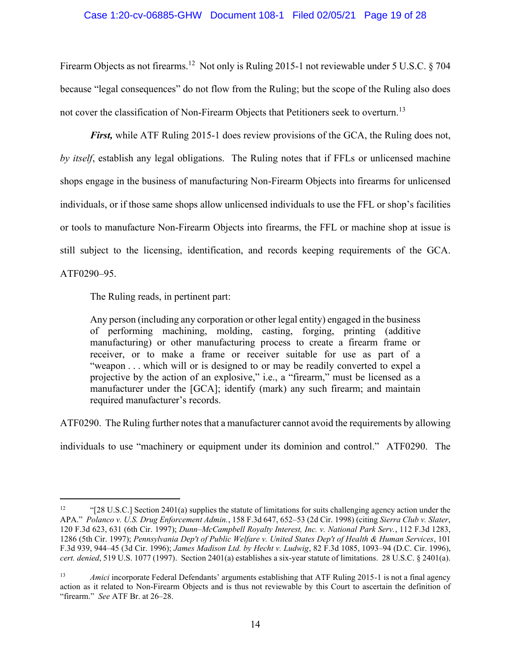## Case 1:20-cv-06885-GHW Document 108-1 Filed 02/05/21 Page 19 of 28

Firearm Objects as not firearms.<sup>12</sup> Not only is Ruling 2015-1 not reviewable under 5 U.S.C. § 704 because "legal consequences" do not flow from the Ruling; but the scope of the Ruling also does not cover the classification of Non-Firearm Objects that Petitioners seek to overturn.<sup>13</sup>

*First*, while ATF Ruling 2015-1 does review provisions of the GCA, the Ruling does not, *by itself*, establish any legal obligations. The Ruling notes that if FFLs or unlicensed machine shops engage in the business of manufacturing Non-Firearm Objects into firearms for unlicensed individuals, or if those same shops allow unlicensed individuals to use the FFL or shop's facilities or tools to manufacture Non-Firearm Objects into firearms, the FFL or machine shop at issue is still subject to the licensing, identification, and records keeping requirements of the GCA. ATF0290–95.

The Ruling reads, in pertinent part:

Any person (including any corporation or other legal entity) engaged in the business of performing machining, molding, casting, forging, printing (additive manufacturing) or other manufacturing process to create a firearm frame or receiver, or to make a frame or receiver suitable for use as part of a "weapon . . . which will or is designed to or may be readily converted to expel a projective by the action of an explosive," i.e., a "firearm," must be licensed as a manufacturer under the [GCA]; identify (mark) any such firearm; and maintain required manufacturer's records.

ATF0290. The Ruling further notes that a manufacturer cannot avoid the requirements by allowing

individuals to use "machinery or equipment under its dominion and control." ATF0290. The

<sup>&</sup>lt;sup>12</sup> "[28 U.S.C.] Section 2401(a) supplies the statute of limitations for suits challenging agency action under the APA." *Polanco v. U.S. Drug Enforcement Admin.*, 158 F.3d 647, 652–53 (2d Cir. 1998) (citing *Sierra Club v. Slater*, 120 F.3d 623, 631 (6th Cir. 1997); *Dunn–McCampbell Royalty Interest, Inc. v. National Park Serv.*, 112 F.3d 1283, 1286 (5th Cir. 1997); *Pennsylvania Dep't of Public Welfare v. United States Dep't of Health & Human Services*, 101 F.3d 939, 944–45 (3d Cir. 1996); *James Madison Ltd. by Hecht v. Ludwig*, 82 F.3d 1085, 1093–94 (D.C. Cir. 1996), *cert. denied*, 519 U.S. 1077 (1997). Section 2401(a) establishes a six-year statute of limitations. 28 U.S.C. § 2401(a).

*Amici* incorporate Federal Defendants' arguments establishing that ATF Ruling 2015-1 is not a final agency action as it related to Non-Firearm Objects and is thus not reviewable by this Court to ascertain the definition of "firearm." *See* ATF Br. at 26–28.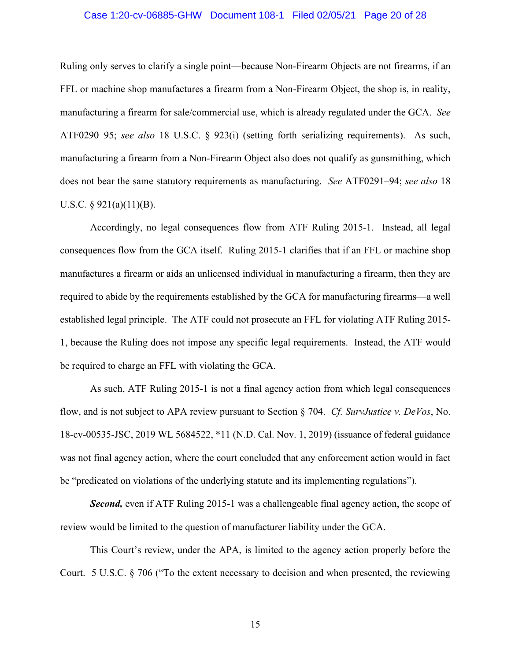## Case 1:20-cv-06885-GHW Document 108-1 Filed 02/05/21 Page 20 of 28

Ruling only serves to clarify a single point—because Non-Firearm Objects are not firearms, if an FFL or machine shop manufactures a firearm from a Non-Firearm Object, the shop is, in reality, manufacturing a firearm for sale/commercial use, which is already regulated under the GCA. *See* ATF0290–95; *see also* 18 U.S.C. § 923(i) (setting forth serializing requirements). As such, manufacturing a firearm from a Non-Firearm Object also does not qualify as gunsmithing, which does not bear the same statutory requirements as manufacturing. *See* ATF0291–94; *see also* 18 U.S.C.  $\S$  921(a)(11)(B).

Accordingly, no legal consequences flow from ATF Ruling 2015-1. Instead, all legal consequences flow from the GCA itself. Ruling 2015-1 clarifies that if an FFL or machine shop manufactures a firearm or aids an unlicensed individual in manufacturing a firearm, then they are required to abide by the requirements established by the GCA for manufacturing firearms—a well established legal principle. The ATF could not prosecute an FFL for violating ATF Ruling 2015- 1, because the Ruling does not impose any specific legal requirements. Instead, the ATF would be required to charge an FFL with violating the GCA.

As such, ATF Ruling 2015-1 is not a final agency action from which legal consequences flow, and is not subject to APA review pursuant to Section § 704. *Cf. SurvJustice v. DeVos*, No. 18-cv-00535-JSC, 2019 WL 5684522, \*11 (N.D. Cal. Nov. 1, 2019) (issuance of federal guidance was not final agency action, where the court concluded that any enforcement action would in fact be "predicated on violations of the underlying statute and its implementing regulations").

**Second,** even if ATF Ruling 2015-1 was a challengeable final agency action, the scope of review would be limited to the question of manufacturer liability under the GCA.

This Court's review, under the APA, is limited to the agency action properly before the Court. 5 U.S.C. § 706 ("To the extent necessary to decision and when presented, the reviewing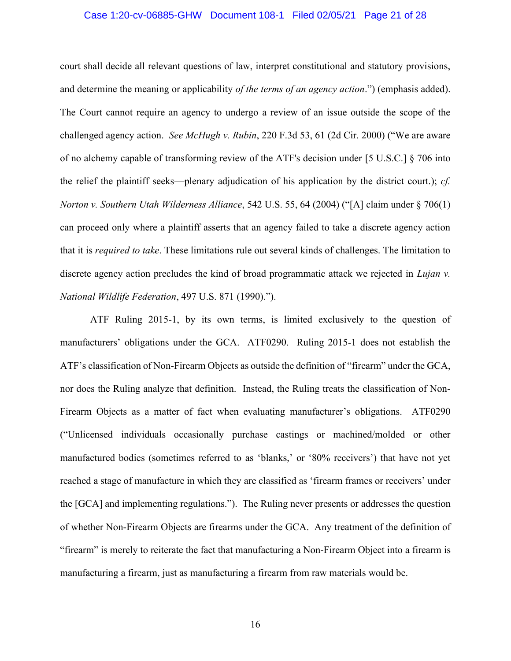## Case 1:20-cv-06885-GHW Document 108-1 Filed 02/05/21 Page 21 of 28

court shall decide all relevant questions of law, interpret constitutional and statutory provisions, and determine the meaning or applicability *of the terms of an agency action*.") (emphasis added). The Court cannot require an agency to undergo a review of an issue outside the scope of the challenged agency action. *See McHugh v. Rubin*, 220 F.3d 53, 61 (2d Cir. 2000) ("We are aware of no alchemy capable of transforming review of the ATF's decision under [5 U.S.C.] § 706 into the relief the plaintiff seeks—plenary adjudication of his application by the district court.); *cf. Norton v. Southern Utah Wilderness Alliance*, 542 U.S. 55, 64 (2004) ("[A] claim under § 706(1) can proceed only where a plaintiff asserts that an agency failed to take a discrete agency action that it is *required to take*. These limitations rule out several kinds of challenges. The limitation to discrete agency action precludes the kind of broad programmatic attack we rejected in *Lujan v. National Wildlife Federation*, 497 U.S. 871 (1990).").

ATF Ruling 2015-1, by its own terms, is limited exclusively to the question of manufacturers' obligations under the GCA. ATF0290. Ruling 2015-1 does not establish the ATF's classification of Non-Firearm Objects as outside the definition of "firearm" under the GCA, nor does the Ruling analyze that definition. Instead, the Ruling treats the classification of Non-Firearm Objects as a matter of fact when evaluating manufacturer's obligations. ATF0290 ("Unlicensed individuals occasionally purchase castings or machined/molded or other manufactured bodies (sometimes referred to as 'blanks,' or '80% receivers') that have not yet reached a stage of manufacture in which they are classified as 'firearm frames or receivers' under the [GCA] and implementing regulations."). The Ruling never presents or addresses the question of whether Non-Firearm Objects are firearms under the GCA. Any treatment of the definition of "firearm" is merely to reiterate the fact that manufacturing a Non-Firearm Object into a firearm is manufacturing a firearm, just as manufacturing a firearm from raw materials would be.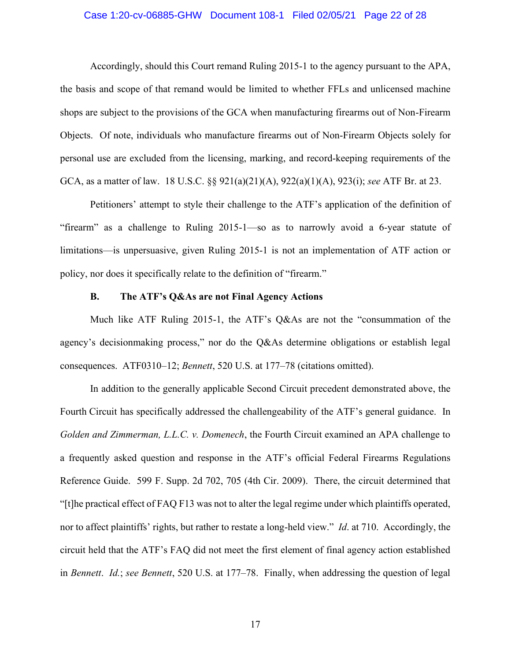## Case 1:20-cv-06885-GHW Document 108-1 Filed 02/05/21 Page 22 of 28

Accordingly, should this Court remand Ruling 2015-1 to the agency pursuant to the APA, the basis and scope of that remand would be limited to whether FFLs and unlicensed machine shops are subject to the provisions of the GCA when manufacturing firearms out of Non-Firearm Objects. Of note, individuals who manufacture firearms out of Non-Firearm Objects solely for personal use are excluded from the licensing, marking, and record-keeping requirements of the GCA, as a matter of law. 18 U.S.C. §§ 921(a)(21)(A), 922(a)(1)(A), 923(i); *see* ATF Br. at 23.

Petitioners' attempt to style their challenge to the ATF's application of the definition of "firearm" as a challenge to Ruling 2015-1—so as to narrowly avoid a 6-year statute of limitations—is unpersuasive, given Ruling 2015-1 is not an implementation of ATF action or policy, nor does it specifically relate to the definition of "firearm."

## **B. The ATF's Q&As are not Final Agency Actions**

Much like ATF Ruling 2015-1, the ATF's Q&As are not the "consummation of the agency's decisionmaking process," nor do the Q&As determine obligations or establish legal consequences. ATF0310–12; *Bennett*, 520 U.S. at 177–78 (citations omitted).

In addition to the generally applicable Second Circuit precedent demonstrated above, the Fourth Circuit has specifically addressed the challengeability of the ATF's general guidance. In *Golden and Zimmerman, L.L.C. v. Domenech*, the Fourth Circuit examined an APA challenge to a frequently asked question and response in the ATF's official Federal Firearms Regulations Reference Guide. 599 F. Supp. 2d 702, 705 (4th Cir. 2009). There, the circuit determined that "[t]he practical effect of FAQ F13 was not to alter the legal regime under which plaintiffs operated, nor to affect plaintiffs' rights, but rather to restate a long-held view." *Id*. at 710. Accordingly, the circuit held that the ATF's FAQ did not meet the first element of final agency action established in *Bennett*. *Id.*; *see Bennett*, 520 U.S. at 177–78. Finally, when addressing the question of legal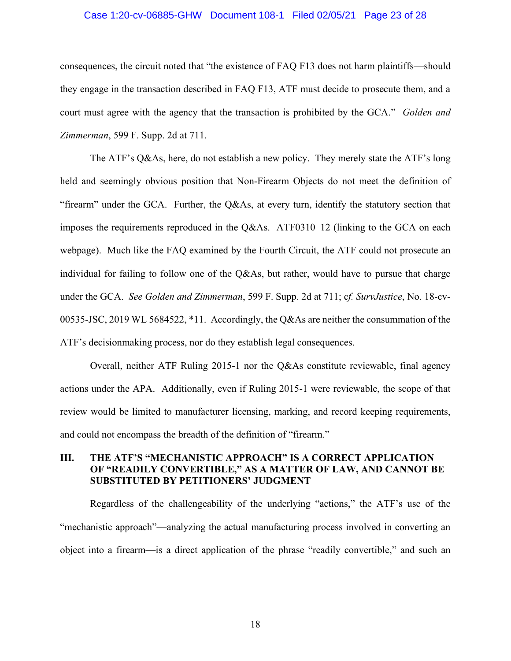### Case 1:20-cv-06885-GHW Document 108-1 Filed 02/05/21 Page 23 of 28

consequences, the circuit noted that "the existence of FAQ F13 does not harm plaintiffs—should they engage in the transaction described in FAQ F13, ATF must decide to prosecute them, and a court must agree with the agency that the transaction is prohibited by the GCA." *Golden and Zimmerman*, 599 F. Supp. 2d at 711.

The ATF's Q&As, here, do not establish a new policy. They merely state the ATF's long held and seemingly obvious position that Non-Firearm Objects do not meet the definition of "firearm" under the GCA. Further, the Q&As, at every turn, identify the statutory section that imposes the requirements reproduced in the Q&As. ATF0310–12 (linking to the GCA on each webpage). Much like the FAQ examined by the Fourth Circuit, the ATF could not prosecute an individual for failing to follow one of the Q&As, but rather, would have to pursue that charge under the GCA. *See Golden and Zimmerman*, 599 F. Supp. 2d at 711; c*f. SurvJustice*, No. 18-cv-00535-JSC, 2019 WL 5684522, \*11. Accordingly, the Q&As are neither the consummation of the ATF's decisionmaking process, nor do they establish legal consequences.

Overall, neither ATF Ruling 2015-1 nor the Q&As constitute reviewable, final agency actions under the APA. Additionally, even if Ruling 2015-1 were reviewable, the scope of that review would be limited to manufacturer licensing, marking, and record keeping requirements, and could not encompass the breadth of the definition of "firearm."

## **III. THE ATF'S "MECHANISTIC APPROACH" IS A CORRECT APPLICATION OF "READILY CONVERTIBLE," AS A MATTER OF LAW, AND CANNOT BE SUBSTITUTED BY PETITIONERS' JUDGMENT**

Regardless of the challengeability of the underlying "actions," the ATF's use of the "mechanistic approach"—analyzing the actual manufacturing process involved in converting an object into a firearm—is a direct application of the phrase "readily convertible," and such an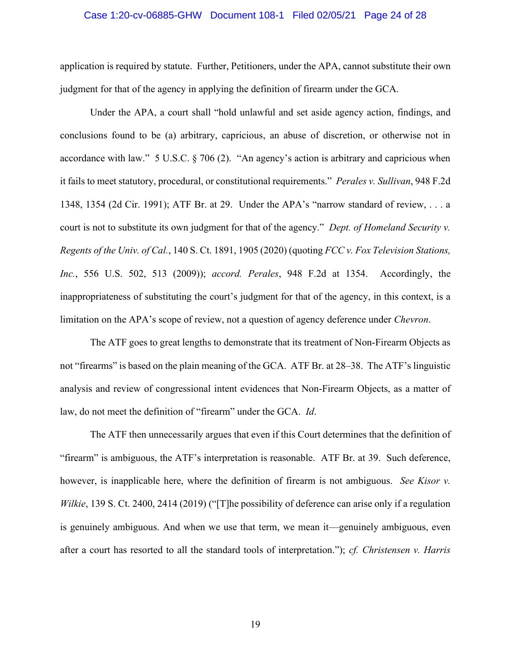### Case 1:20-cv-06885-GHW Document 108-1 Filed 02/05/21 Page 24 of 28

application is required by statute. Further, Petitioners, under the APA, cannot substitute their own judgment for that of the agency in applying the definition of firearm under the GCA.

Under the APA, a court shall "hold unlawful and set aside agency action, findings, and conclusions found to be (a) arbitrary, capricious, an abuse of discretion, or otherwise not in accordance with law." 5 U.S.C. § 706 (2). "An agency's action is arbitrary and capricious when it fails to meet statutory, procedural, or constitutional requirements." *Perales v. Sullivan*, 948 F.2d 1348, 1354 (2d Cir. 1991); ATF Br. at 29. Under the APA's "narrow standard of review, . . . a court is not to substitute its own judgment for that of the agency." *Dept. of Homeland Security v. Regents of the Univ. of Cal.*, 140 S. Ct. 1891, 1905 (2020) (quoting *FCC v. Fox Television Stations, Inc.*, 556 U.S. 502, 513 (2009)); *accord. Perales*, 948 F.2d at 1354. Accordingly, the inappropriateness of substituting the court's judgment for that of the agency, in this context, is a limitation on the APA's scope of review, not a question of agency deference under *Chevron*.

The ATF goes to great lengths to demonstrate that its treatment of Non-Firearm Objects as not "firearms" is based on the plain meaning of the GCA. ATF Br. at 28–38. The ATF's linguistic analysis and review of congressional intent evidences that Non-Firearm Objects, as a matter of law, do not meet the definition of "firearm" under the GCA. *Id*.

The ATF then unnecessarily argues that even if this Court determines that the definition of "firearm" is ambiguous, the ATF's interpretation is reasonable. ATF Br. at 39. Such deference, however, is inapplicable here, where the definition of firearm is not ambiguous. *See Kisor v. Wilkie*, 139 S. Ct. 2400, 2414 (2019) ("[T]he possibility of deference can arise only if a regulation is genuinely ambiguous. And when we use that term, we mean it—genuinely ambiguous, even after a court has resorted to all the standard tools of interpretation."); *cf. Christensen v. Harris*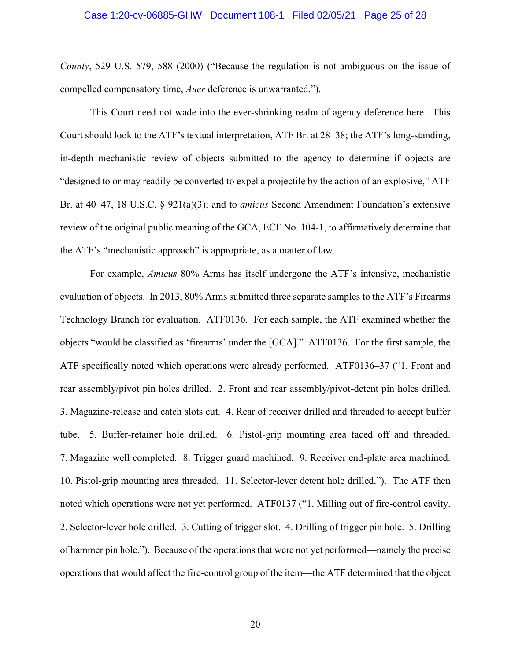### Case 1:20-cv-06885-GHW Document 108-1 Filed 02/05/21 Page 25 of 28

*County*, 529 U.S. 579, 588 (2000) ("Because the regulation is not ambiguous on the issue of compelled compensatory time, *Auer* deference is unwarranted.").

This Court need not wade into the ever-shrinking realm of agency deference here. This Court should look to the ATF's textual interpretation, ATF Br. at 28–38; the ATF's long-standing, in-depth mechanistic review of objects submitted to the agency to determine if objects are "designed to or may readily be converted to expel a projectile by the action of an explosive," ATF Br. at 40–47, 18 U.S.C. § 921(a)(3); and to *amicus* Second Amendment Foundation's extensive review of the original public meaning of the GCA, ECF No. 104-1, to affirmatively determine that the ATF's "mechanistic approach" is appropriate, as a matter of law.

For example, *Amicus* 80% Arms has itself undergone the ATF's intensive, mechanistic evaluation of objects. In 2013, 80% Arms submitted three separate samples to the ATF's Firearms Technology Branch for evaluation. ATF0136. For each sample, the ATF examined whether the objects "would be classified as 'firearms' under the [GCA]." ATF0136. For the first sample, the ATF specifically noted which operations were already performed. ATF0136–37 ("1. Front and rear assembly/pivot pin holes drilled. 2. Front and rear assembly/pivot-detent pin holes drilled. 3. Magazine-release and catch slots cut. 4. Rear of receiver drilled and threaded to accept buffer tube. 5. Buffer-retainer hole drilled. 6. Pistol-grip mounting area faced off and threaded. 7. Magazine well completed. 8. Trigger guard machined. 9. Receiver end-plate area machined. 10. Pistol-grip mounting area threaded. 11. Selector-lever detent hole drilled."). The ATF then noted which operations were not yet performed. ATF0137 ("1. Milling out of fire-control cavity. 2. Selector-lever hole drilled. 3. Cutting of trigger slot. 4. Drilling of trigger pin hole. 5. Drilling of hammer pin hole."). Because of the operations that were not yet performed—namely the precise operations that would affect the fire-control group of the item—the ATF determined that the object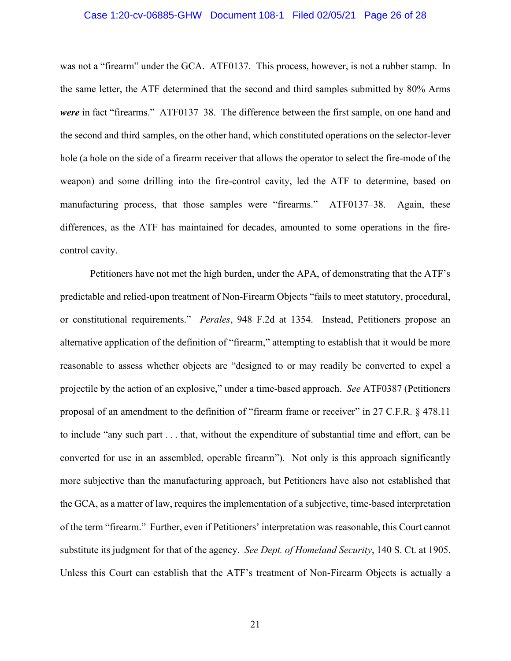### Case 1:20-cv-06885-GHW Document 108-1 Filed 02/05/21 Page 26 of 28

was not a "firearm" under the GCA. ATF0137. This process, however, is not a rubber stamp. In the same letter, the ATF determined that the second and third samples submitted by 80% Arms *were* in fact "firearms." ATF0137–38. The difference between the first sample, on one hand and the second and third samples, on the other hand, which constituted operations on the selector-lever hole (a hole on the side of a firearm receiver that allows the operator to select the fire-mode of the weapon) and some drilling into the fire-control cavity, led the ATF to determine, based on manufacturing process, that those samples were "firearms." ATF0137–38. Again, these differences, as the ATF has maintained for decades, amounted to some operations in the firecontrol cavity.

Petitioners have not met the high burden, under the APA, of demonstrating that the ATF's predictable and relied-upon treatment of Non-Firearm Objects "fails to meet statutory, procedural, or constitutional requirements." *Perales*, 948 F.2d at 1354. Instead, Petitioners propose an alternative application of the definition of "firearm," attempting to establish that it would be more reasonable to assess whether objects are "designed to or may readily be converted to expel a projectile by the action of an explosive," under a time-based approach. *See* ATF0387 (Petitioners proposal of an amendment to the definition of "firearm frame or receiver" in 27 C.F.R. § 478.11 to include "any such part . . . that, without the expenditure of substantial time and effort, can be converted for use in an assembled, operable firearm"). Not only is this approach significantly more subjective than the manufacturing approach, but Petitioners have also not established that the GCA, as a matter of law, requires the implementation of a subjective, time-based interpretation of the term "firearm." Further, even if Petitioners' interpretation was reasonable, this Court cannot substitute its judgment for that of the agency. *See Dept. of Homeland Security*, 140 S. Ct. at 1905. Unless this Court can establish that the ATF's treatment of Non-Firearm Objects is actually a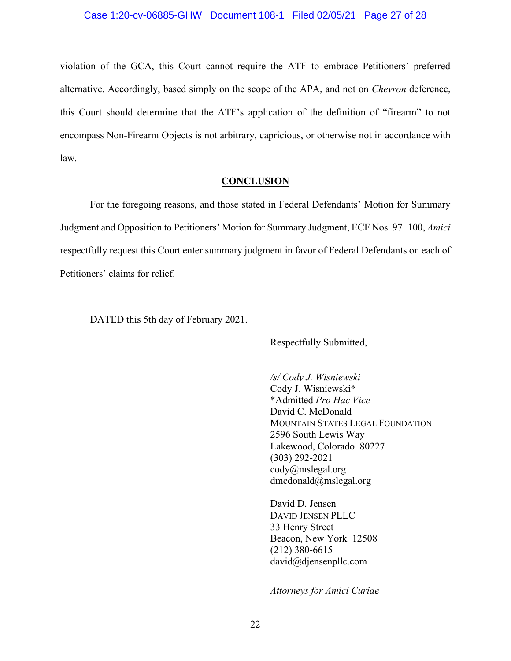violation of the GCA, this Court cannot require the ATF to embrace Petitioners' preferred alternative. Accordingly, based simply on the scope of the APA, and not on *Chevron* deference, this Court should determine that the ATF's application of the definition of "firearm" to not encompass Non-Firearm Objects is not arbitrary, capricious, or otherwise not in accordance with law.

## **CONCLUSION**

For the foregoing reasons, and those stated in Federal Defendants' Motion for Summary Judgment and Opposition to Petitioners' Motion for Summary Judgment, ECF Nos. 97–100, *Amici* respectfully request this Court enter summary judgment in favor of Federal Defendants on each of Petitioners' claims for relief.

DATED this 5th day of February 2021.

Respectfully Submitted,

*/s/ Cody J. Wisniewski*

Cody J. Wisniewski\* \*Admitted *Pro Hac Vice* David C. McDonald MOUNTAIN STATES LEGAL FOUNDATION 2596 South Lewis Way Lakewood, Colorado 80227 (303) 292-2021 cody@mslegal.org dmcdonald@mslegal.org

David D. Jensen DAVID JENSEN PLLC 33 Henry Street Beacon, New York 12508 (212) 380-6615 david@djensenpllc.com

*Attorneys for Amici Curiae*